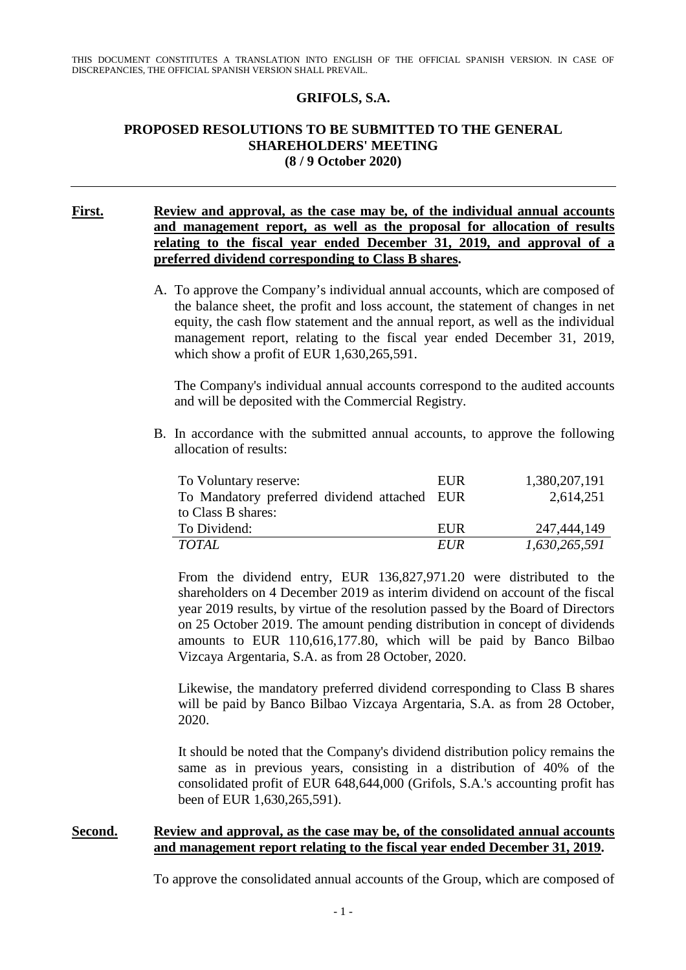### **GRIFOLS, S.A.**

#### **PROPOSED RESOLUTIONS TO BE SUBMITTED TO THE GENERAL SHAREHOLDERS' MEETING (8 / 9 October 2020)**

### **First. Review and approval, as the case may be, of the individual annual accounts and management report, as well as the proposal for allocation of results relating to the fiscal year ended December 31, 2019, and approval of a preferred dividend corresponding to Class B shares.**

A. To approve the Company's individual annual accounts, which are composed of the balance sheet, the profit and loss account, the statement of changes in net equity, the cash flow statement and the annual report, as well as the individual management report, relating to the fiscal year ended December 31, 2019, which show a profit of EUR 1,630,265,591.

The Company's individual annual accounts correspond to the audited accounts and will be deposited with the Commercial Registry.

B. In accordance with the submitted annual accounts, to approve the following allocation of results:

| To Voluntary reserve:                        | EUR        | 1,380,207,191 |
|----------------------------------------------|------------|---------------|
| To Mandatory preferred dividend attached EUR |            | 2,614,251     |
| to Class B shares:                           |            |               |
| To Dividend:                                 | EUR        | 247,444,149   |
| <i>TOTAL</i>                                 | <i>EUR</i> | 1,630,265,591 |

From the dividend entry, EUR 136,827,971.20 were distributed to the shareholders on 4 December 2019 as interim dividend on account of the fiscal year 2019 results, by virtue of the resolution passed by the Board of Directors on 25 October 2019. The amount pending distribution in concept of dividends amounts to EUR 110,616,177.80, which will be paid by Banco Bilbao Vizcaya Argentaria, S.A. as from 28 October, 2020.

Likewise, the mandatory preferred dividend corresponding to Class B shares will be paid by Banco Bilbao Vizcaya Argentaria, S.A. as from 28 October, 2020.

It should be noted that the Company's dividend distribution policy remains the same as in previous years, consisting in a distribution of 40% of the consolidated profit of EUR 648,644,000 (Grifols, S.A.'s accounting profit has been of EUR 1,630,265,591).

#### **Second. Review and approval, as the case may be, of the consolidated annual accounts and management report relating to the fiscal year ended December 31, 2019.**

To approve the consolidated annual accounts of the Group, which are composed of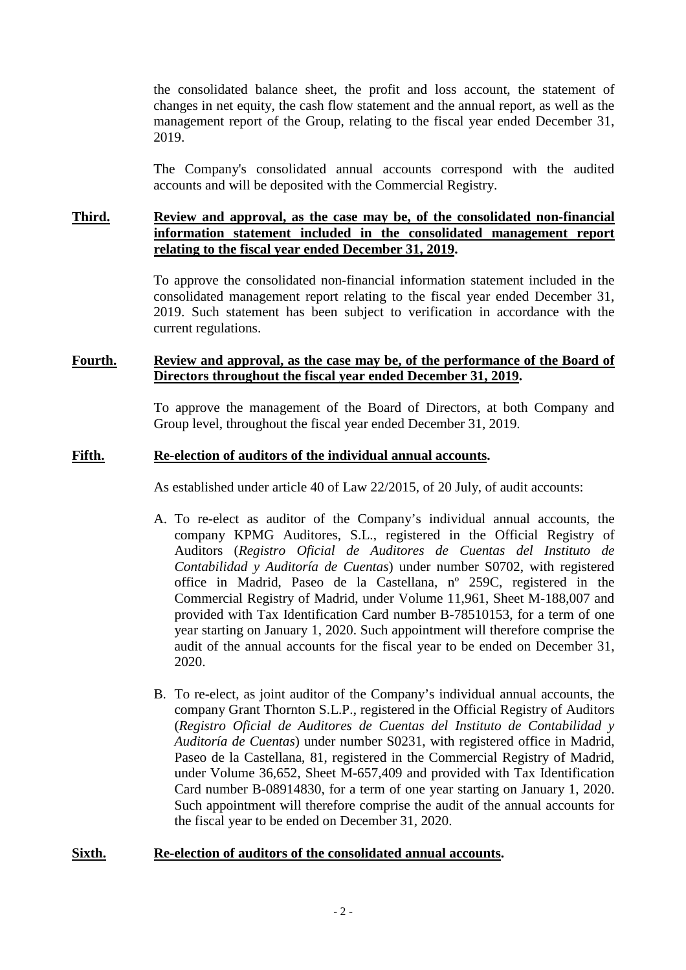the consolidated balance sheet, the profit and loss account, the statement of changes in net equity, the cash flow statement and the annual report, as well as the management report of the Group, relating to the fiscal year ended December 31, 2019.

The Company's consolidated annual accounts correspond with the audited accounts and will be deposited with the Commercial Registry.

## **Third. Review and approval, as the case may be, of the consolidated non-financial information statement included in the consolidated management report relating to the fiscal year ended December 31, 2019.**

To approve the consolidated non-financial information statement included in the consolidated management report relating to the fiscal year ended December 31, 2019. Such statement has been subject to verification in accordance with the current regulations.

# **Fourth. Review and approval, as the case may be, of the performance of the Board of Directors throughout the fiscal year ended December 31, 2019.**

To approve the management of the Board of Directors, at both Company and Group level, throughout the fiscal year ended December 31, 2019.

## **Fifth. Re-election of auditors of the individual annual accounts.**

As established under article 40 of Law 22/2015, of 20 July, of audit accounts:

- A. To re-elect as auditor of the Company's individual annual accounts, the company KPMG Auditores, S.L., registered in the Official Registry of Auditors (*Registro Oficial de Auditores de Cuentas del Instituto de Contabilidad y Auditoría de Cuentas*) under number S0702, with registered office in Madrid, Paseo de la Castellana, nº 259C, registered in the Commercial Registry of Madrid, under Volume 11,961, Sheet M-188,007 and provided with Tax Identification Card number B-78510153, for a term of one year starting on January 1, 2020. Such appointment will therefore comprise the audit of the annual accounts for the fiscal year to be ended on December 31, 2020.
- B. To re-elect, as joint auditor of the Company's individual annual accounts, the company Grant Thornton S.L.P., registered in the Official Registry of Auditors (*Registro Oficial de Auditores de Cuentas del Instituto de Contabilidad y Auditoría de Cuentas*) under number S0231, with registered office in Madrid, Paseo de la Castellana, 81, registered in the Commercial Registry of Madrid, under Volume 36,652, Sheet M-657,409 and provided with Tax Identification Card number B-08914830, for a term of one year starting on January 1, 2020. Such appointment will therefore comprise the audit of the annual accounts for the fiscal year to be ended on December 31, 2020.

#### **Sixth. Re-election of auditors of the consolidated annual accounts.**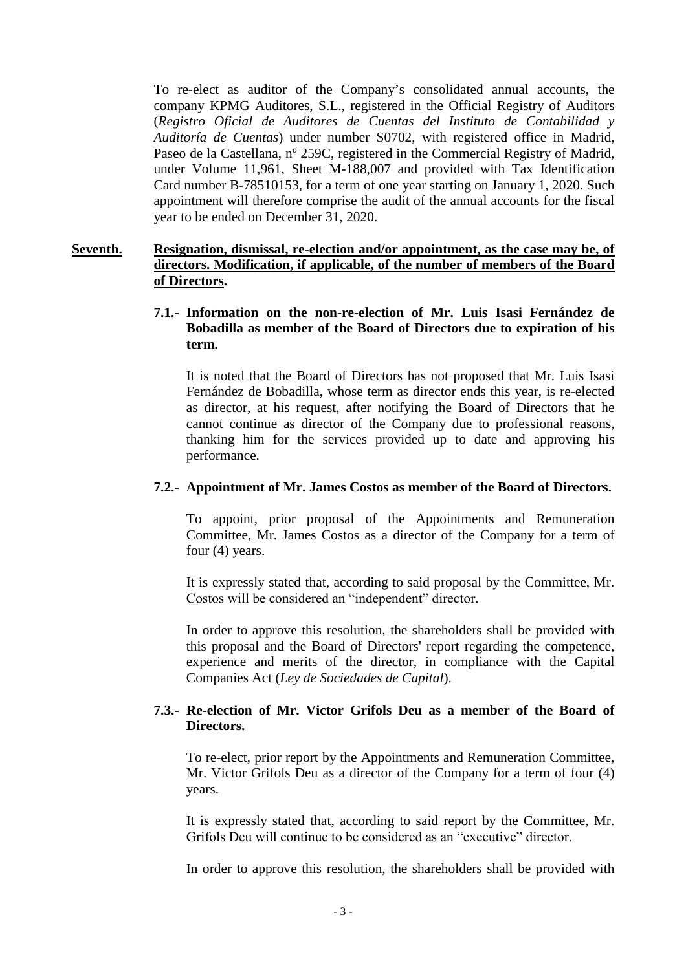To re-elect as auditor of the Company's consolidated annual accounts, the company KPMG Auditores, S.L., registered in the Official Registry of Auditors (*Registro Oficial de Auditores de Cuentas del Instituto de Contabilidad y Auditoría de Cuentas*) under number S0702, with registered office in Madrid, Paseo de la Castellana, nº 259C, registered in the Commercial Registry of Madrid, under Volume 11,961, Sheet M-188,007 and provided with Tax Identification Card number B-78510153, for a term of one year starting on January 1, 2020. Such appointment will therefore comprise the audit of the annual accounts for the fiscal year to be ended on December 31, 2020.

## **Seventh. Resignation, dismissal, re-election and/or appointment, as the case may be, of directors. Modification, if applicable, of the number of members of the Board of Directors.**

## **7.1.- Information on the non-re-election of Mr. Luis Isasi Fernández de Bobadilla as member of the Board of Directors due to expiration of his term.**

It is noted that the Board of Directors has not proposed that Mr. Luis Isasi Fernández de Bobadilla, whose term as director ends this year, is re-elected as director, at his request, after notifying the Board of Directors that he cannot continue as director of the Company due to professional reasons, thanking him for the services provided up to date and approving his performance.

# **7.2.- Appointment of Mr. James Costos as member of the Board of Directors.**

To appoint, prior proposal of the Appointments and Remuneration Committee, Mr. James Costos as a director of the Company for a term of four (4) years.

It is expressly stated that, according to said proposal by the Committee, Mr. Costos will be considered an "independent" director.

In order to approve this resolution, the shareholders shall be provided with this proposal and the Board of Directors' report regarding the competence, experience and merits of the director, in compliance with the Capital Companies Act (*Ley de Sociedades de Capital*).

# **7.3.- Re-election of Mr. Victor Grifols Deu as a member of the Board of Directors.**

To re-elect, prior report by the Appointments and Remuneration Committee, Mr. Victor Grifols Deu as a director of the Company for a term of four (4) years.

It is expressly stated that, according to said report by the Committee, Mr. Grifols Deu will continue to be considered as an "executive" director.

In order to approve this resolution, the shareholders shall be provided with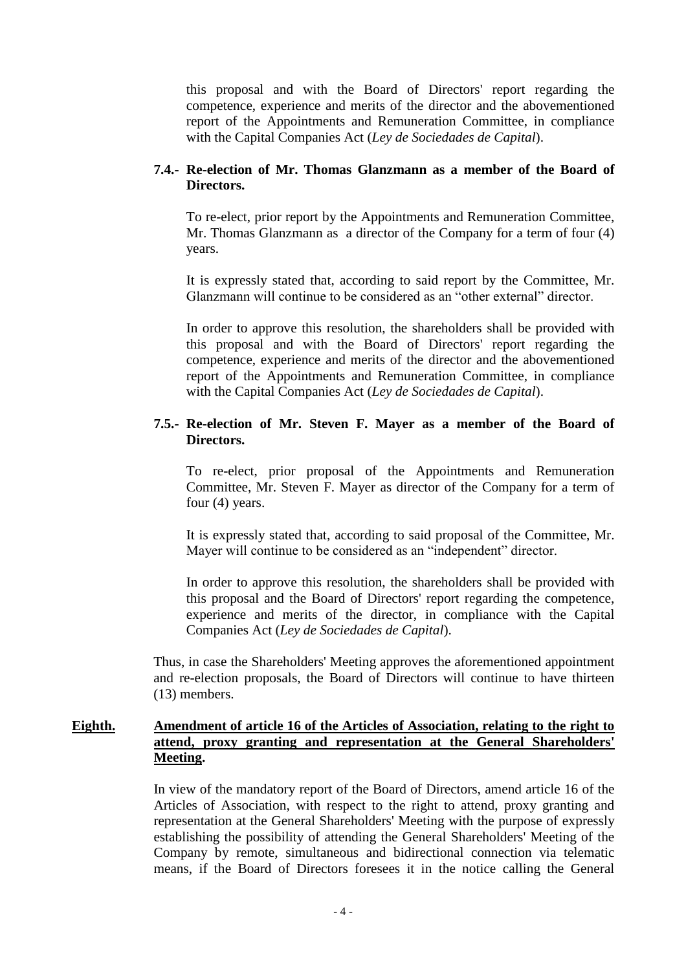this proposal and with the Board of Directors' report regarding the competence, experience and merits of the director and the abovementioned report of the Appointments and Remuneration Committee, in compliance with the Capital Companies Act (*Ley de Sociedades de Capital*).

## **7.4.- Re-election of Mr. Thomas Glanzmann as a member of the Board of Directors.**

To re-elect, prior report by the Appointments and Remuneration Committee, Mr. Thomas Glanzmann as a director of the Company for a term of four (4) years.

It is expressly stated that, according to said report by the Committee, Mr. Glanzmann will continue to be considered as an "other external" director.

In order to approve this resolution, the shareholders shall be provided with this proposal and with the Board of Directors' report regarding the competence, experience and merits of the director and the abovementioned report of the Appointments and Remuneration Committee, in compliance with the Capital Companies Act (*Ley de Sociedades de Capital*).

# **7.5.- Re-election of Mr. Steven F. Mayer as a member of the Board of Directors.**

To re-elect, prior proposal of the Appointments and Remuneration Committee, Mr. Steven F. Mayer as director of the Company for a term of four (4) years.

It is expressly stated that, according to said proposal of the Committee, Mr. Mayer will continue to be considered as an "independent" director.

In order to approve this resolution, the shareholders shall be provided with this proposal and the Board of Directors' report regarding the competence, experience and merits of the director, in compliance with the Capital Companies Act (*Ley de Sociedades de Capital*).

Thus, in case the Shareholders' Meeting approves the aforementioned appointment and re-election proposals, the Board of Directors will continue to have thirteen (13) members.

## **Eighth. Amendment of article 16 of the Articles of Association, relating to the right to attend, proxy granting and representation at the General Shareholders' Meeting.**

In view of the mandatory report of the Board of Directors, amend article 16 of the Articles of Association, with respect to the right to attend, proxy granting and representation at the General Shareholders' Meeting with the purpose of expressly establishing the possibility of attending the General Shareholders' Meeting of the Company by remote, simultaneous and bidirectional connection via telematic means, if the Board of Directors foresees it in the notice calling the General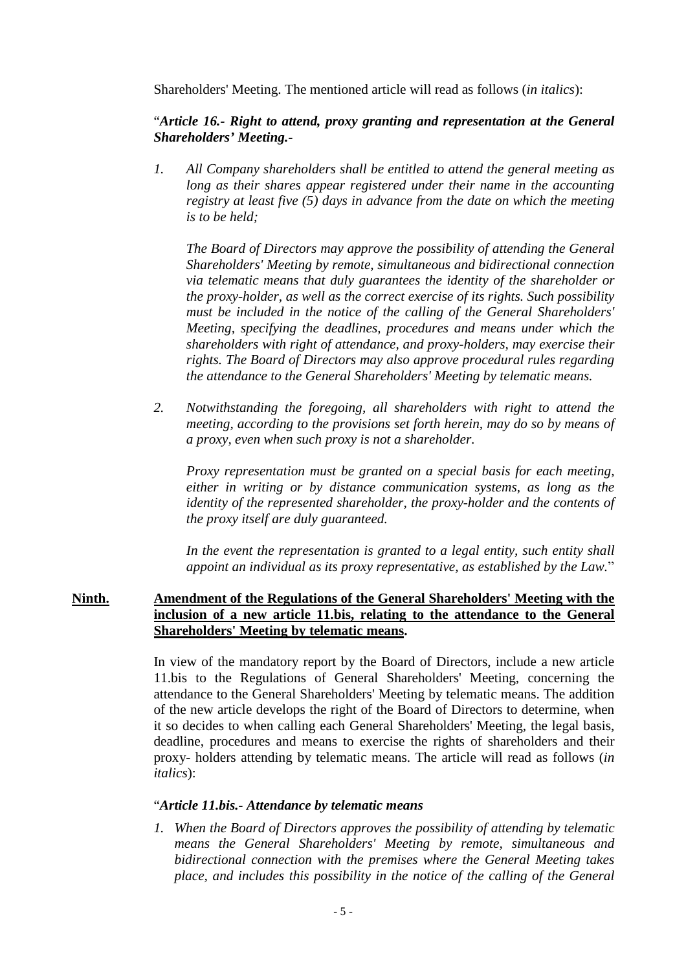Shareholders' Meeting. The mentioned article will read as follows (*in italics*):

# "*Article 16.- Right to attend, proxy granting and representation at the General Shareholders' Meeting.-*

*1. All Company shareholders shall be entitled to attend the general meeting as long as their shares appear registered under their name in the accounting registry at least five (5) days in advance from the date on which the meeting is to be held;*

*The Board of Directors may approve the possibility of attending the General Shareholders' Meeting by remote, simultaneous and bidirectional connection via telematic means that duly guarantees the identity of the shareholder or the proxy-holder, as well as the correct exercise of its rights. Such possibility must be included in the notice of the calling of the General Shareholders' Meeting, specifying the deadlines, procedures and means under which the shareholders with right of attendance, and proxy-holders, may exercise their rights. The Board of Directors may also approve procedural rules regarding the attendance to the General Shareholders' Meeting by telematic means.*

*2. Notwithstanding the foregoing, all shareholders with right to attend the meeting, according to the provisions set forth herein, may do so by means of a proxy, even when such proxy is not a shareholder.*

*Proxy representation must be granted on a special basis for each meeting, either in writing or by distance communication systems, as long as the identity of the represented shareholder, the proxy-holder and the contents of the proxy itself are duly guaranteed.*

In the event the representation is granted to a legal entity, such entity shall *appoint an individual as its proxy representative, as established by the Law.*"

## **Ninth. Amendment of the Regulations of the General Shareholders' Meeting with the inclusion of a new article 11.bis, relating to the attendance to the General Shareholders' Meeting by telematic means.**

In view of the mandatory report by the Board of Directors, include a new article 11.bis to the Regulations of General Shareholders' Meeting, concerning the attendance to the General Shareholders' Meeting by telematic means. The addition of the new article develops the right of the Board of Directors to determine, when it so decides to when calling each General Shareholders' Meeting, the legal basis, deadline, procedures and means to exercise the rights of shareholders and their proxy- holders attending by telematic means. The article will read as follows (*in italics*):

# "*Article 11.bis.- Attendance by telematic means*

*1. When the Board of Directors approves the possibility of attending by telematic means the General Shareholders' Meeting by remote, simultaneous and bidirectional connection with the premises where the General Meeting takes place, and includes this possibility in the notice of the calling of the General*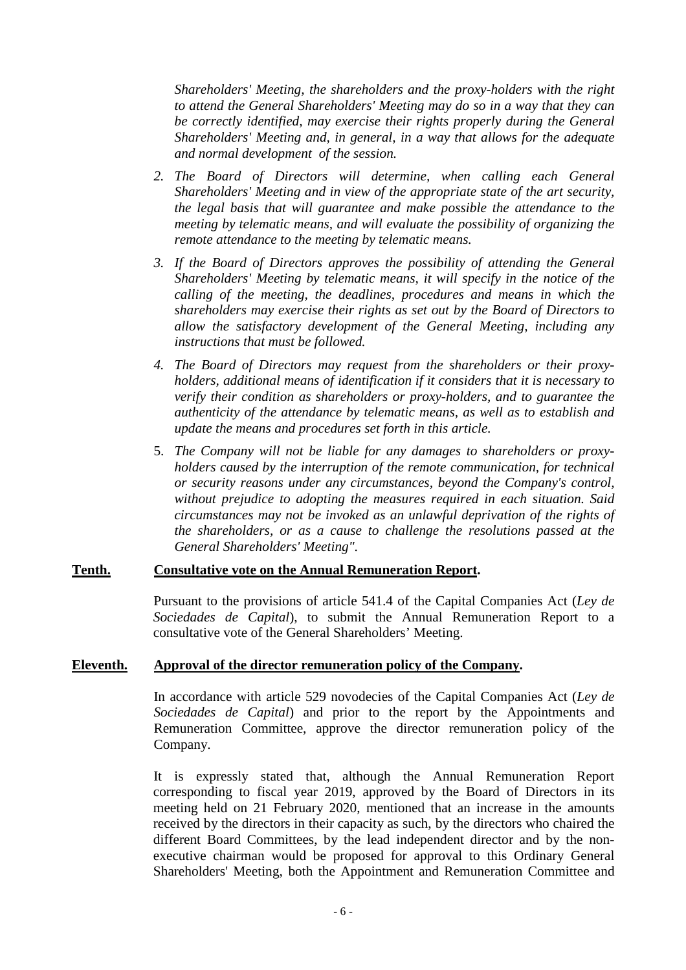*Shareholders' Meeting, the shareholders and the proxy-holders with the right to attend the General Shareholders' Meeting may do so in a way that they can be correctly identified, may exercise their rights properly during the General Shareholders' Meeting and, in general, in a way that allows for the adequate and normal development of the session.*

- *2. The Board of Directors will determine, when calling each General Shareholders' Meeting and in view of the appropriate state of the art security, the legal basis that will guarantee and make possible the attendance to the meeting by telematic means, and will evaluate the possibility of organizing the remote attendance to the meeting by telematic means.*
- *3. If the Board of Directors approves the possibility of attending the General Shareholders' Meeting by telematic means, it will specify in the notice of the calling of the meeting, the deadlines, procedures and means in which the shareholders may exercise their rights as set out by the Board of Directors to allow the satisfactory development of the General Meeting, including any instructions that must be followed.*
- *4. The Board of Directors may request from the shareholders or their proxyholders, additional means of identification if it considers that it is necessary to verify their condition as shareholders or proxy-holders, and to guarantee the authenticity of the attendance by telematic means, as well as to establish and update the means and procedures set forth in this article.*
- 5. *The Company will not be liable for any damages to shareholders or proxyholders caused by the interruption of the remote communication, for technical or security reasons under any circumstances, beyond the Company's control, without prejudice to adopting the measures required in each situation. Said circumstances may not be invoked as an unlawful deprivation of the rights of the shareholders, or as a cause to challenge the resolutions passed at the General Shareholders' Meeting".*

#### **Tenth. Consultative vote on the Annual Remuneration Report.**

Pursuant to the provisions of article 541.4 of the Capital Companies Act (*Ley de Sociedades de Capital*), to submit the Annual Remuneration Report to a consultative vote of the General Shareholders' Meeting.

#### **Eleventh. Approval of the director remuneration policy of the Company.**

In accordance with article 529 novodecies of the Capital Companies Act (*Ley de Sociedades de Capital*) and prior to the report by the Appointments and Remuneration Committee, approve the director remuneration policy of the Company.

It is expressly stated that, although the Annual Remuneration Report corresponding to fiscal year 2019, approved by the Board of Directors in its meeting held on 21 February 2020, mentioned that an increase in the amounts received by the directors in their capacity as such, by the directors who chaired the different Board Committees, by the lead independent director and by the nonexecutive chairman would be proposed for approval to this Ordinary General Shareholders' Meeting, both the Appointment and Remuneration Committee and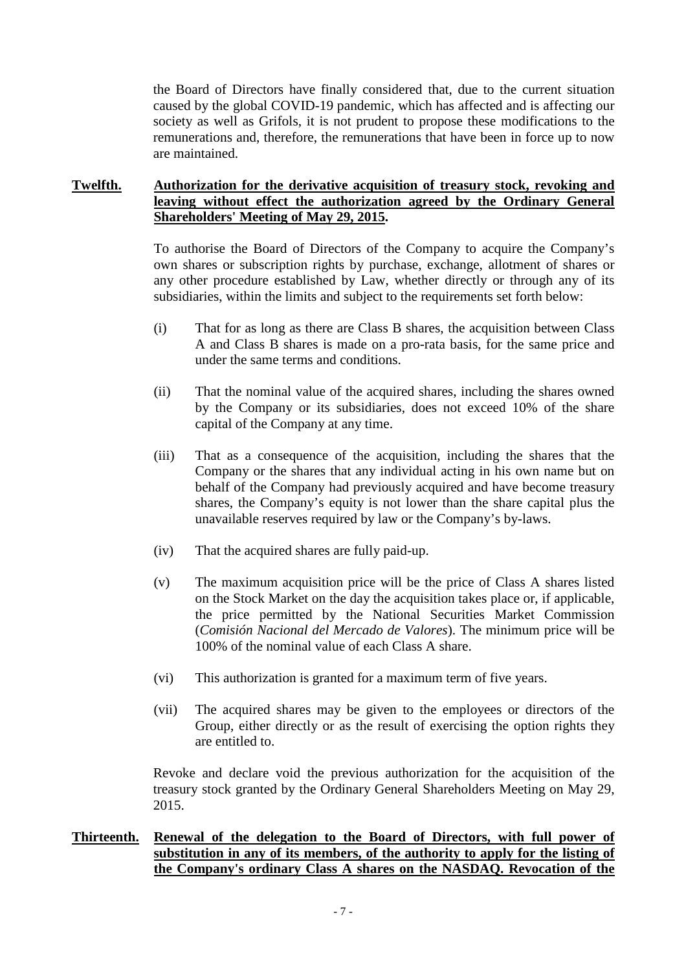the Board of Directors have finally considered that, due to the current situation caused by the global COVID-19 pandemic, which has affected and is affecting our society as well as Grifols, it is not prudent to propose these modifications to the remunerations and, therefore, the remunerations that have been in force up to now are maintained.

#### **Twelfth. Authorization for the derivative acquisition of treasury stock, revoking and leaving without effect the authorization agreed by the Ordinary General Shareholders' Meeting of May 29, 2015.**

To authorise the Board of Directors of the Company to acquire the Company's own shares or subscription rights by purchase, exchange, allotment of shares or any other procedure established by Law, whether directly or through any of its subsidiaries, within the limits and subject to the requirements set forth below:

- (i) That for as long as there are Class B shares, the acquisition between Class A and Class B shares is made on a pro-rata basis, for the same price and under the same terms and conditions.
- (ii) That the nominal value of the acquired shares, including the shares owned by the Company or its subsidiaries, does not exceed 10% of the share capital of the Company at any time.
- (iii) That as a consequence of the acquisition, including the shares that the Company or the shares that any individual acting in his own name but on behalf of the Company had previously acquired and have become treasury shares, the Company's equity is not lower than the share capital plus the unavailable reserves required by law or the Company's by-laws.
- (iv) That the acquired shares are fully paid-up.
- (v) The maximum acquisition price will be the price of Class A shares listed on the Stock Market on the day the acquisition takes place or, if applicable, the price permitted by the National Securities Market Commission (*Comisión Nacional del Mercado de Valores*). The minimum price will be 100% of the nominal value of each Class A share.
- (vi) This authorization is granted for a maximum term of five years.
- (vii) The acquired shares may be given to the employees or directors of the Group, either directly or as the result of exercising the option rights they are entitled to.

Revoke and declare void the previous authorization for the acquisition of the treasury stock granted by the Ordinary General Shareholders Meeting on May 29, 2015.

## **Thirteenth. Renewal of the delegation to the Board of Directors, with full power of substitution in any of its members, of the authority to apply for the listing of the Company's ordinary Class A shares on the NASDAQ. Revocation of the**